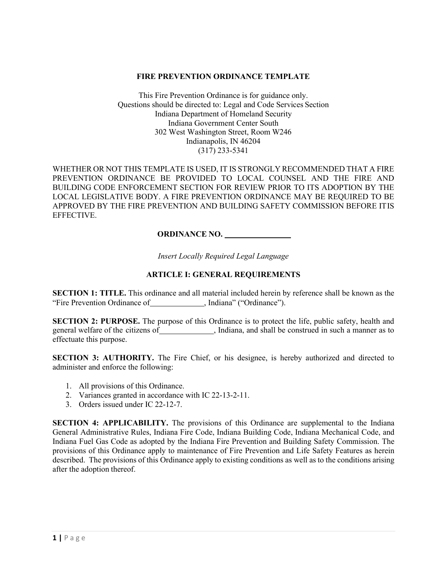#### **FIRE PREVENTION ORDINANCE TEMPLATE**

This Fire Prevention Ordinance is for guidance only. Questions should be directed to: Legal and Code Services Section Indiana Department of Homeland Security Indiana Government Center South 302 West Washington Street, Room W246 Indianapolis, IN 46204 (317) 233-5341

WHETHER OR NOT THIS TEMPLATE IS USED, IT IS STRONGLY RECOMMENDED THAT A FIRE PREVENTION ORDINANCE BE PROVIDED TO LOCAL COUNSEL AND THE FIRE AND BUILDING CODE ENFORCEMENT SECTION FOR REVIEW PRIOR TO ITS ADOPTION BY THE LOCAL LEGISLATIVE BODY. A FIRE PREVENTION ORDINANCE MAY BE REQUIRED TO BE APPROVED BY THE FIRE PREVENTION AND BUILDING SAFETY COMMISSION BEFORE ITIS EFFECTIVE.

**ORDINANCE NO.** 

*Insert Locally Required Legal Language*

### **ARTICLE I: GENERAL REQUIREMENTS**

**SECTION 1: TITLE.** This ordinance and all material included herein by reference shall be known as the "Fire Prevention Ordinance of , Indiana" ("Ordinance").

**SECTION 2: PURPOSE.** The purpose of this Ordinance is to protect the life, public safety, health and general welfare of the citizens of , Indiana, and shall be construed in such a manner as to effectuate this purpose.

**SECTION 3: AUTHORITY.** The Fire Chief, or his designee, is hereby authorized and directed to administer and enforce the following:

- 1. All provisions of this Ordinance.
- 2. Variances granted in accordance with IC 22-13-2-11.
- 3. Orders issued under IC 22-12-7.

**SECTION 4: APPLICABILITY.** The provisions of this Ordinance are supplemental to the Indiana General Administrative Rules, Indiana Fire Code, Indiana Building Code, Indiana Mechanical Code, and Indiana Fuel Gas Code as adopted by the Indiana Fire Prevention and Building Safety Commission. The provisions of this Ordinance apply to maintenance of Fire Prevention and Life Safety Features as herein described. The provisions of this Ordinance apply to existing conditions as well as to the conditions arising after the adoption thereof.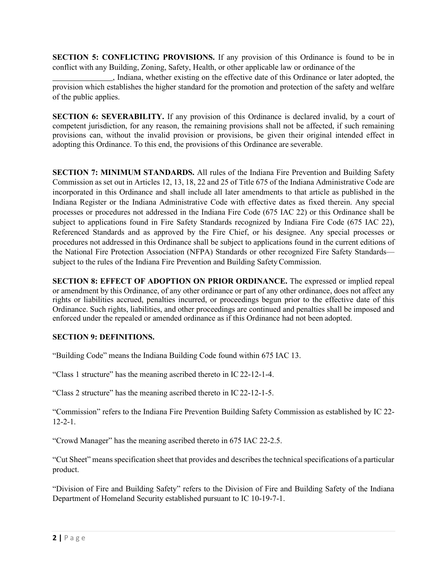**SECTION 5: CONFLICTING PROVISIONS.** If any provision of this Ordinance is found to be in conflict with any Building, Zoning, Safety, Health, or other applicable law or ordinance of the

, Indiana, whether existing on the effective date of this Ordinance or later adopted, the provision which establishes the higher standard for the promotion and protection of the safety and welfare of the public applies.

**SECTION 6: SEVERABILITY.** If any provision of this Ordinance is declared invalid, by a court of competent jurisdiction, for any reason, the remaining provisions shall not be affected, if such remaining provisions can, without the invalid provision or provisions, be given their original intended effect in adopting this Ordinance. To this end, the provisions of this Ordinance are severable.

**SECTION 7: MINIMUM STANDARDS.** All rules of the Indiana Fire Prevention and Building Safety Commission as set out in Articles 12, 13, 18, 22 and 25 of Title 675 of the Indiana Administrative Code are incorporated in this Ordinance and shall include all later amendments to that article as published in the Indiana Register or the Indiana Administrative Code with effective dates as fixed therein. Any special processes or procedures not addressed in the Indiana Fire Code (675 IAC 22) or this Ordinance shall be subject to applications found in Fire Safety Standards recognized by Indiana Fire Code (675 IAC 22), Referenced Standards and as approved by the Fire Chief, or his designee. Any special processes or procedures not addressed in this Ordinance shall be subject to applications found in the current editions of the National Fire Protection Association (NFPA) Standards or other recognized Fire Safety Standards subject to the rules of the Indiana Fire Prevention and Building SafetyCommission.

**SECTION 8: EFFECT OF ADOPTION ON PRIOR ORDINANCE.** The expressed or implied repeal or amendment by this Ordinance, of any other ordinance or part of any other ordinance, does not affect any rights or liabilities accrued, penalties incurred, or proceedings begun prior to the effective date of this Ordinance. Such rights, liabilities, and other proceedings are continued and penalties shall be imposed and enforced under the repealed or amended ordinance as if this Ordinance had not been adopted.

### **SECTION 9: DEFINITIONS.**

"Building Code" means the Indiana Building Code found within 675 IAC 13.

"Class 1 structure" has the meaning ascribed thereto in IC 22-12-1-4.

"Class 2 structure" has the meaning ascribed thereto in IC22-12-1-5.

"Commission" refers to the Indiana Fire Prevention Building Safety Commission as established by IC 22- 12-2-1.

"Crowd Manager" has the meaning ascribed thereto in 675 IAC 22-2.5.

"Cut Sheet" meansspecification sheet that provides and describesthe technical specifications of a particular product.

"Division of Fire and Building Safety" refers to the Division of Fire and Building Safety of the Indiana Department of Homeland Security established pursuant to IC 10-19-7-1.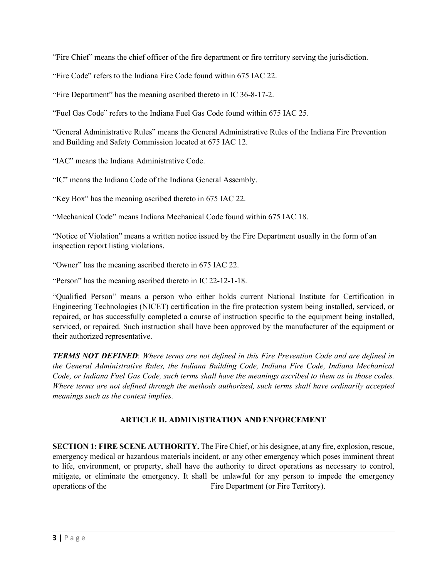"Fire Chief" means the chief officer of the fire department or fire territory serving the jurisdiction.

"Fire Code" refers to the Indiana Fire Code found within 675 IAC 22.

"Fire Department" has the meaning ascribed thereto in IC 36-8-17-2.

"Fuel Gas Code" refers to the Indiana Fuel Gas Code found within 675 IAC 25.

"General Administrative Rules" means the General Administrative Rules of the Indiana Fire Prevention and Building and Safety Commission located at 675 IAC 12.

"IAC" means the Indiana Administrative Code.

"IC" means the Indiana Code of the Indiana General Assembly.

"Key Box" has the meaning ascribed thereto in 675 IAC 22.

"Mechanical Code" means Indiana Mechanical Code found within 675 IAC 18.

"Notice of Violation" means a written notice issued by the Fire Department usually in the form of an inspection report listing violations.

"Owner" has the meaning ascribed thereto in 675 IAC 22.

"Person" has the meaning ascribed thereto in IC 22-12-1-18.

"Qualified Person" means a person who either holds current National Institute for Certification in Engineering Technologies (NICET) certification in the fire protection system being installed, serviced, or repaired, or has successfully completed a course of instruction specific to the equipment being installed, serviced, or repaired. Such instruction shall have been approved by the manufacturer of the equipment or their authorized representative.

*TERMS NOT DEFINED*: *Where terms are not defined in this Fire Prevention Code and are defined in the General Administrative Rules, the Indiana Building Code, Indiana Fire Code, Indiana Mechanical Code, or Indiana Fuel Gas Code, such terms shall have the meanings ascribed to them as in those codes. Where terms are not defined through the methods authorized, such terms shall have ordinarily accepted meanings such as the context implies.*

### **ARTICLE II. ADMINISTRATION AND ENFORCEMENT**

**SECTION 1: FIRE SCENE AUTHORITY.** The Fire Chief, or his designee, at any fire, explosion, rescue, emergency medical or hazardous materials incident, or any other emergency which poses imminent threat to life, environment, or property, shall have the authority to direct operations as necessary to control, mitigate, or eliminate the emergency. It shall be unlawful for any person to impede the emergency operations of the Fire Department (or Fire Territory).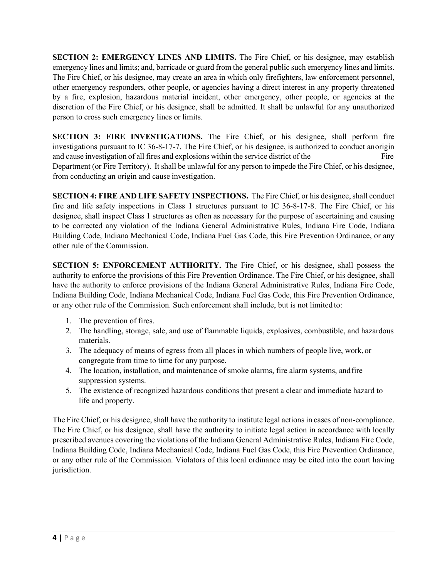**SECTION 2: EMERGENCY LINES AND LIMITS.** The Fire Chief, or his designee, may establish emergency lines and limits; and, barricade or guard from the general public such emergency lines and limits. The Fire Chief, or his designee, may create an area in which only firefighters, law enforcement personnel, other emergency responders, other people, or agencies having a direct interest in any property threatened by a fire, explosion, hazardous material incident, other emergency, other people, or agencies at the discretion of the Fire Chief, or his designee, shall be admitted. It shall be unlawful for any unauthorized person to cross such emergency lines or limits.

**SECTION 3: FIRE INVESTIGATIONS.** The Fire Chief, or his designee, shall perform fire investigations pursuant to IC 36-8-17-7. The Fire Chief, or his designee, is authorized to conduct anorigin and cause investigation of all fires and explosions within the service district of the Fire Department (or Fire Territory). It shall be unlawful for any person to impede the Fire Chief, or his designee, from conducting an origin and cause investigation.

**SECTION 4: FIRE AND LIFE SAFETY INSPECTIONS.** The Fire Chief, or his designee, shall conduct fire and life safety inspections in Class 1 structures pursuant to IC 36-8-17-8. The Fire Chief, or his designee, shall inspect Class 1 structures as often as necessary for the purpose of ascertaining and causing to be corrected any violation of the Indiana General Administrative Rules, Indiana Fire Code, Indiana Building Code, Indiana Mechanical Code, Indiana Fuel Gas Code, this Fire Prevention Ordinance, or any other rule of the Commission.

**SECTION 5: ENFORCEMENT AUTHORITY.** The Fire Chief, or his designee, shall possess the authority to enforce the provisions of this Fire Prevention Ordinance. The Fire Chief, or his designee, shall have the authority to enforce provisions of the Indiana General Administrative Rules, Indiana Fire Code, Indiana Building Code, Indiana Mechanical Code, Indiana Fuel Gas Code, this Fire Prevention Ordinance, or any other rule of the Commission. Such enforcement shall include, but is not limited to:

- 1. The prevention of fires.
- 2. The handling, storage, sale, and use of flammable liquids, explosives, combustible, and hazardous materials.
- 3. The adequacy of means of egress from all places in which numbers of people live, work, or congregate from time to time for any purpose.
- 4. The location, installation, and maintenance of smoke alarms, fire alarm systems, andfire suppression systems.
- 5. The existence of recognized hazardous conditions that present a clear and immediate hazard to life and property.

The Fire Chief, or his designee, shall have the authority to institute legal actions in cases of non-compliance. The Fire Chief, or his designee, shall have the authority to initiate legal action in accordance with locally prescribed avenues covering the violations of the Indiana General Administrative Rules, Indiana Fire Code, Indiana Building Code, Indiana Mechanical Code, Indiana Fuel Gas Code, this Fire Prevention Ordinance, or any other rule of the Commission. Violators of this local ordinance may be cited into the court having jurisdiction.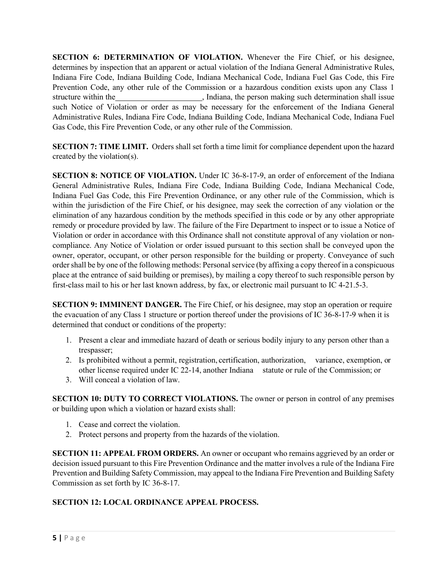**SECTION 6: DETERMINATION OF VIOLATION.** Whenever the Fire Chief, or his designee, determines by inspection that an apparent or actual violation of the Indiana General Administrative Rules, Indiana Fire Code, Indiana Building Code, Indiana Mechanical Code, Indiana Fuel Gas Code, this Fire Prevention Code, any other rule of the Commission or a hazardous condition exists upon any Class 1 structure within the , Indiana, the person making such determination shall issue such Notice of Violation or order as may be necessary for the enforcement of the Indiana General Administrative Rules, Indiana Fire Code, Indiana Building Code, Indiana Mechanical Code, Indiana Fuel Gas Code, this Fire Prevention Code, or any other rule of the Commission.

**SECTION 7: TIME LIMIT.** Orders shall set forth a time limit for compliance dependent upon the hazard created by the violation(s).

**SECTION 8: NOTICE OF VIOLATION.** Under IC 36-8-17-9, an order of enforcement of the Indiana General Administrative Rules, Indiana Fire Code, Indiana Building Code, Indiana Mechanical Code, Indiana Fuel Gas Code, this Fire Prevention Ordinance, or any other rule of the Commission, which is within the jurisdiction of the Fire Chief, or his designee, may seek the correction of any violation or the elimination of any hazardous condition by the methods specified in this code or by any other appropriate remedy or procedure provided by law. The failure of the Fire Department to inspect or to issue a Notice of Violation or order in accordance with this Ordinance shall not constitute approval of any violation or noncompliance. Any Notice of Violation or order issued pursuant to this section shall be conveyed upon the owner, operator, occupant, or other person responsible for the building or property. Conveyance of such order shall be by one of the following methods: Personal service (by affixing a copy thereof in a conspicuous place at the entrance of said building or premises), by mailing a copy thereof to such responsible person by first-class mail to his or her last known address, by fax, or electronic mail pursuant to IC 4-21.5-3.

**SECTION 9: IMMINENT DANGER.** The Fire Chief, or his designee, may stop an operation or require the evacuation of any Class 1 structure or portion thereof under the provisions of IC 36-8-17-9 when it is determined that conduct or conditions of the property:

- 1. Present a clear and immediate hazard of death or serious bodily injury to any person other than a trespasser;
- 2. Is prohibited without a permit, registration, certification, authorization, variance, exemption, or other license required under IC 22-14, another Indiana statute or rule of the Commission; or
- 3. Will conceal a violation of law.

**SECTION 10: DUTY TO CORRECT VIOLATIONS.** The owner or person in control of any premises or building upon which a violation or hazard exists shall:

- 1. Cease and correct the violation.
- 2. Protect persons and property from the hazards of the violation.

**SECTION 11: APPEAL FROM ORDERS.** An owner or occupant who remains aggrieved by an order or decision issued pursuant to this Fire Prevention Ordinance and the matter involves a rule of the Indiana Fire Prevention and Building Safety Commission, may appeal to the Indiana Fire Prevention and Building Safety Commission as set forth by IC 36-8-17.

# **SECTION 12: LOCAL ORDINANCE APPEAL PROCESS.**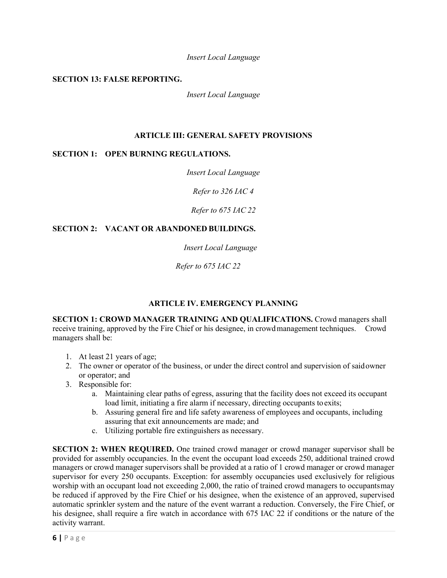*Insert Local Language*

#### **SECTION 13: FALSE REPORTING.**

*Insert Local Language*

### **ARTICLE III: GENERAL SAFETY PROVISIONS**

### **SECTION 1: OPEN BURNING REGULATIONS.**

*Insert Local Language* 

*Refer to 326 IAC 4*

*Refer to 675 IAC 22*

### **SECTION 2: VACANT OR ABANDONED BUILDINGS.**

*Insert Local Language* 

*Refer to 675 IAC 22*

### **ARTICLE IV. EMERGENCY PLANNING**

**SECTION 1: CROWD MANAGER TRAINING AND QUALIFICATIONS.** Crowd managers shall receive training, approved by the Fire Chief or his designee, in crowdmanagement techniques. Crowd managers shall be:

- 1. At least 21 years of age;
- 2. The owner or operator of the business, or under the direct control and supervision of saidowner or operator; and
- 3. Responsible for:
	- a. Maintaining clear paths of egress, assuring that the facility does not exceed its occupant load limit, initiating a fire alarm if necessary, directing occupants to exits;
	- b. Assuring general fire and life safety awareness of employees and occupants, including assuring that exit announcements are made; and
	- c. Utilizing portable fire extinguishers as necessary.

**SECTION 2: WHEN REQUIRED.** One trained crowd manager or crowd manager supervisor shall be provided for assembly occupancies. In the event the occupant load exceeds 250, additional trained crowd managers or crowd manager supervisors shall be provided at a ratio of 1 crowd manager or crowd manager supervisor for every 250 occupants. Exception: for assembly occupancies used exclusively for religious worship with an occupant load not exceeding 2,000, the ratio of trained crowd managers to occupantsmay be reduced if approved by the Fire Chief or his designee, when the existence of an approved, supervised automatic sprinkler system and the nature of the event warrant a reduction. Conversely, the Fire Chief, or his designee, shall require a fire watch in accordance with 675 IAC 22 if conditions or the nature of the activity warrant.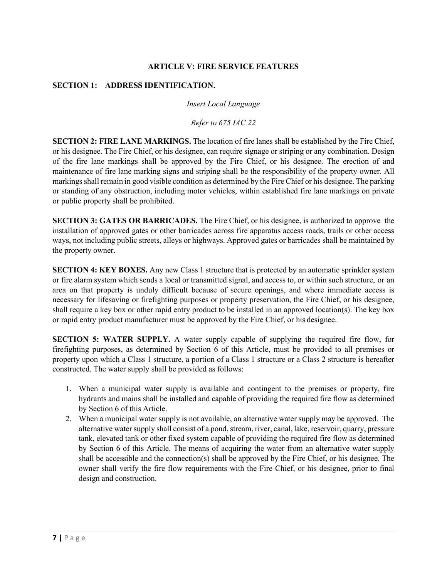### **ARTICLE V: FIRE SERVICE FEATURES**

### **SECTION 1: ADDRESS IDENTIFICATION.**

*Insert Local Language* 

*Refer to 675 IAC 22*

**SECTION 2: FIRE LANE MARKINGS.** The location of fire lanes shall be established by the Fire Chief, or his designee. The Fire Chief, or his designee, can require signage or striping or any combination. Design of the fire lane markings shall be approved by the Fire Chief, or his designee. The erection of and maintenance of fire lane marking signs and striping shall be the responsibility of the property owner. All markings shall remain in good visible condition as determined by the Fire Chief or his designee. The parking or standing of any obstruction, including motor vehicles, within established fire lane markings on private or public property shall be prohibited.

**SECTION 3: GATES OR BARRICADES.** The Fire Chief, or his designee, is authorized to approve the installation of approved gates or other barricades across fire apparatus access roads, trails or other access ways, not including public streets, alleys or highways. Approved gates or barricades shall be maintained by the property owner.

**SECTION 4: KEY BOXES.** Any new Class 1 structure that is protected by an automatic sprinkler system or fire alarm system which sends a local or transmitted signal, and access to, or within such structure, or an area on that property is unduly difficult because of secure openings, and where immediate access is necessary for lifesaving or firefighting purposes or property preservation, the Fire Chief, or his designee, shall require a key box or other rapid entry product to be installed in an approved location(s). The key box or rapid entry product manufacturer must be approved by the Fire Chief, or his designee.

**SECTION 5: WATER SUPPLY.** A water supply capable of supplying the required fire flow, for firefighting purposes, as determined by Section 6 of this Article, must be provided to all premises or property upon which a Class 1 structure, a portion of a Class 1 structure or a Class 2 structure is hereafter constructed. The water supply shall be provided as follows:

- 1. When a municipal water supply is available and contingent to the premises or property, fire hydrants and mains shall be installed and capable of providing the required fire flow as determined by Section 6 of this Article.
- 2. When a municipal water supply is not available, an alternative water supply may be approved. The alternative water supply shall consist of a pond, stream, river, canal, lake, reservoir, quarry, pressure tank, elevated tank or other fixed system capable of providing the required fire flow as determined by Section 6 of this Article. The means of acquiring the water from an alternative water supply shall be accessible and the connection(s) shall be approved by the Fire Chief, or his designee. The owner shall verify the fire flow requirements with the Fire Chief, or his designee, prior to final design and construction.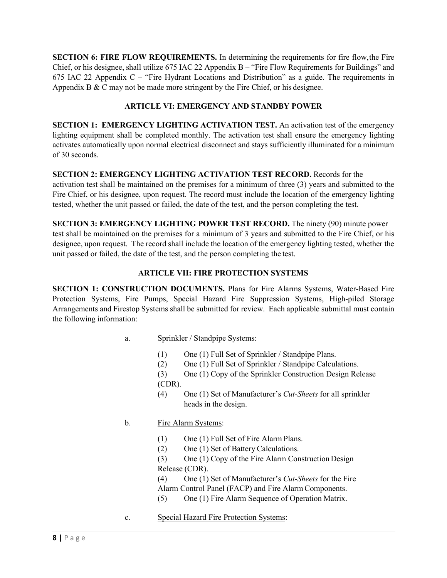**SECTION 6: FIRE FLOW REQUIREMENTS.** In determining the requirements for fire flow,the Fire Chief, or his designee, shall utilize 675 IAC 22 Appendix B – "Fire Flow Requirements for Buildings" and 675 IAC 22 Appendix C – "Fire Hydrant Locations and Distribution" as a guide. The requirements in Appendix B & C may not be made more stringent by the Fire Chief, or his designee.

### **ARTICLE VI: EMERGENCY AND STANDBY POWER**

**SECTION 1: EMERGENCY LIGHTING ACTIVATION TEST.** An activation test of the emergency lighting equipment shall be completed monthly. The activation test shall ensure the emergency lighting activates automatically upon normal electrical disconnect and stays sufficiently illuminated for a minimum of 30 seconds.

### **SECTION 2: EMERGENCY LIGHTING ACTIVATION TEST RECORD.** Records for the

activation test shall be maintained on the premises for a minimum of three (3) years and submitted to the Fire Chief, or his designee, upon request. The record must include the location of the emergency lighting tested, whether the unit passed or failed, the date of the test, and the person completing the test.

**SECTION 3: EMERGENCY LIGHTING POWER TEST RECORD.** The ninety (90) minute power test shall be maintained on the premises for a minimum of 3 years and submitted to the Fire Chief, or his designee, upon request. The record shall include the location of the emergency lighting tested, whether the unit passed or failed, the date of the test, and the person completing the test.

## **ARTICLE VII: FIRE PROTECTION SYSTEMS**

**SECTION 1: CONSTRUCTION DOCUMENTS.** Plans for Fire Alarms Systems, Water-Based Fire Protection Systems, Fire Pumps, Special Hazard Fire Suppression Systems, High-piled Storage Arrangements and Firestop Systems shall be submitted for review. Each applicable submittal must contain the following information:

- a. Sprinkler / Standpipe Systems:
	- (1) One (1) Full Set of Sprinkler / Standpipe Plans.
	- (2) One (1) Full Set of Sprinkler / Standpipe Calculations.
	- (3) One (1) Copy of the Sprinkler Construction Design Release (CDR).
	- (4) One (1) Set of Manufacturer's *Cut-Sheets* for all sprinkler heads in the design.
- b. Fire Alarm Systems:
	- (1) One (1) Full Set of Fire Alarm Plans.
	- (2) One (1) Set of Battery Calculations.

(3) One (1) Copy of the Fire Alarm Construction Design Release (CDR).

(4) One (1) Set of Manufacturer's *Cut-Sheets* for the Fire Alarm Control Panel (FACP) and Fire Alarm Components.

- (5) One (1) Fire Alarm Sequence of Operation Matrix.
- c. Special Hazard Fire Protection Systems: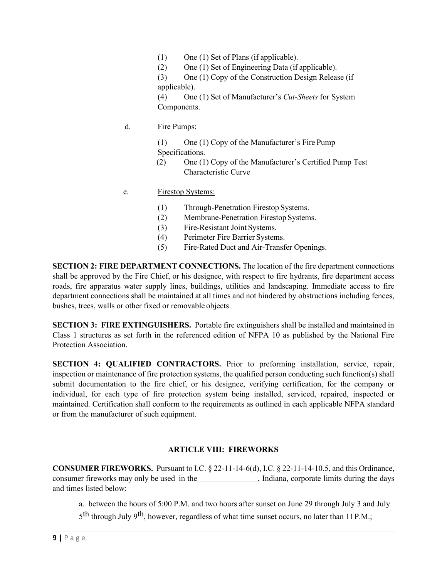(1) One (1) Set of Plans (if applicable).

(2) One (1) Set of Engineering Data (if applicable).

(3) One (1) Copy of the Construction Design Release (if applicable).

(4) One (1) Set of Manufacturer's *Cut-Sheets* for System Components.

d. Fire Pumps:

(1) One (1) Copy of the Manufacturer's Fire Pump Specifications.

- (2) One (1) Copy of the Manufacturer's Certified Pump Test Characteristic Curve
- e. Firestop Systems:
	- (1) Through-Penetration Firestop Systems.
	- (2) Membrane-Penetration Firestop Systems.
	- (3) Fire-Resistant Joint Systems.
	- (4) Perimeter Fire Barrier Systems.
	- (5) Fire-Rated Duct and Air-Transfer Openings.

**SECTION 2: FIRE DEPARTMENT CONNECTIONS.** The location of the fire department connections shall be approved by the Fire Chief, or his designee, with respect to fire hydrants, fire department access roads, fire apparatus water supply lines, buildings, utilities and landscaping. Immediate access to fire department connections shall be maintained at all times and not hindered by obstructions including fences, bushes, trees, walls or other fixed or removable objects.

**SECTION 3: FIRE EXTINGUISHERS.** Portable fire extinguishers shall be installed and maintained in Class 1 structures as set forth in the referenced edition of NFPA 10 as published by the National Fire Protection Association.

**SECTION 4: QUALIFIED CONTRACTORS.** Prior to preforming installation, service, repair, inspection or maintenance of fire protection systems, the qualified person conducting such function(s) shall submit documentation to the fire chief, or his designee, verifying certification, for the company or individual, for each type of fire protection system being installed, serviced, repaired, inspected or maintained. Certification shall conform to the requirements as outlined in each applicable NFPA standard or from the manufacturer of such equipment.

### **ARTICLE VIII: FIREWORKS**

**CONSUMER FIREWORKS.** Pursuant to I.C. § 22-11-14-6(d), I.C. § 22-11-14-10.5, and this Ordinance, consumer fireworks may only be used in the , Indiana, corporate limits during the days and times listed below:

- a. between the hours of 5:00 P.M. and two hours after sunset on June 29 through July 3 and July
- $5<sup>th</sup>$  through July 9<sup>th</sup>, however, regardless of what time sunset occurs, no later than 11 P.M.;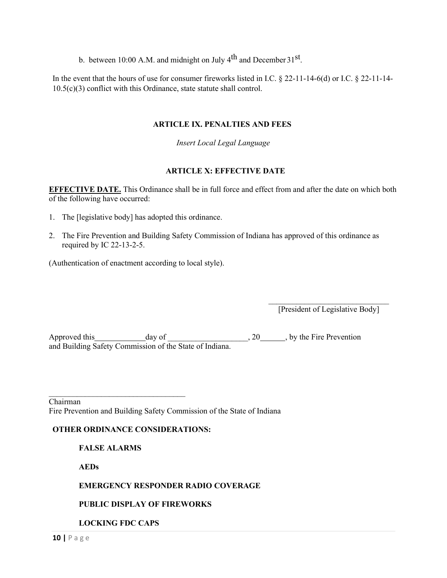b. between 10:00 A.M. and midnight on July  $4<sup>th</sup>$  and December 31<sup>st</sup>.

In the event that the hours of use for consumer fireworks listed in I.C. § 22-11-14-6(d) or I.C. § 22-11-14- 10.5(c)(3) conflict with this Ordinance, state statute shall control.

#### **ARTICLE IX. PENALTIES AND FEES**

*Insert Local Legal Language*

### **ARTICLE X: EFFECTIVE DATE**

**EFFECTIVE DATE.** This Ordinance shall be in full force and effect from and after the date on which both of the following have occurred:

- 1. The [legislative body] has adopted this ordinance.
- 2. The Fire Prevention and Building Safety Commission of Indiana has approved of this ordinance as required by IC 22-13-2-5.

(Authentication of enactment according to local style).

\_\_\_\_\_\_\_\_\_\_\_\_\_\_\_\_\_\_\_\_\_\_\_\_\_\_\_\_\_\_ [President of Legislative Body]

Approved this day of \_\_\_\_\_\_\_\_\_\_\_\_\_\_\_\_\_\_\_\_, 20 , by the Fire Prevention and Building Safety Commission of the State of Indiana.

 $\mathcal{L}_\text{max}$  , where  $\mathcal{L}_\text{max}$  and  $\mathcal{L}_\text{max}$  and  $\mathcal{L}_\text{max}$ Chairman Fire Prevention and Building Safety Commission of the State of Indiana

#### **OTHER ORDINANCE CONSIDERATIONS:**

#### **FALSE ALARMS**

**AEDs**

#### **EMERGENCY RESPONDER RADIO COVERAGE**

#### **PUBLIC DISPLAY OF FIREWORKS**

#### **LOCKING FDC CAPS**